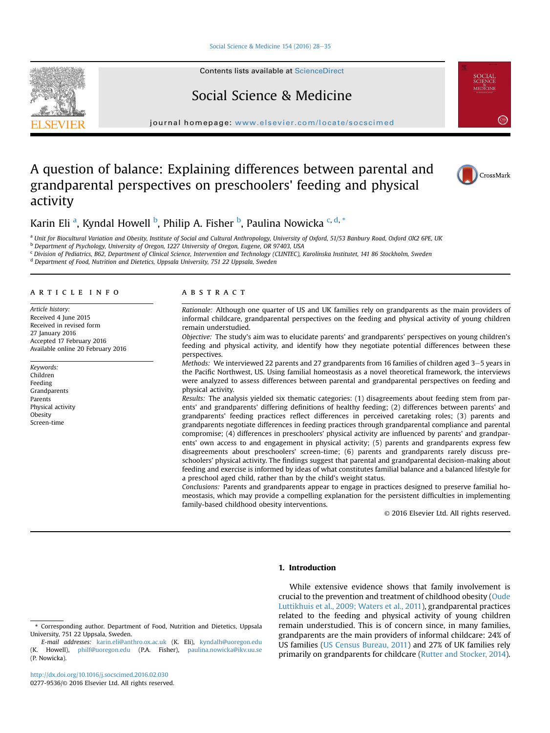[Social Science & Medicine 154 \(2016\) 28](http://dx.doi.org/10.1016/j.socscimed.2016.02.030)-[35](http://dx.doi.org/10.1016/j.socscimed.2016.02.030)

Contents lists available at [ScienceDirect](www.sciencedirect.com/science/journal/02779536)

# Social Science & Medicine

journal homepage: [www.elsevier.com/locate/socscimed](http://www.elsevier.com/locate/socscimed)

## A question of balance: Explaining differences between parental and grandparental perspectives on preschoolers' feeding and physical activity



## Karin Eli <sup>a</sup>, Kyndal Howell <sup>b</sup>, Philip A. Fisher <sup>b</sup>, Paulina Nowicka <sup>c, d, \*</sup>

a Unit for Biocultural Variation and Obesity, Institute of Social and Cultural Anthropology, University of Oxford, 51/53 Banbury Road, Oxford OX2 6PE, UK

b Department of Psychology, University of Oregon, 1227 University of Oregon, Eugene, OR 97403, USA

<sup>c</sup> Division of Pediatrics, B62, Department of Clinical Science, Intervention and Technology (CLINTEC), Karolinska Institutet, 141 86 Stockholm, Sweden

<sup>d</sup> Department of Food, Nutrition and Dietetics, Uppsala University, 751 22 Uppsala, Sweden

#### article info

Article history: Received 4 June 2015 Received in revised form 27 January 2016 Accepted 17 February 2016 Available online 20 February 2016

Keywords: Children Feeding Grandparents Parents Physical activity Obesity Screen-time

#### **ABSTRACT**

Rationale: Although one quarter of US and UK families rely on grandparents as the main providers of informal childcare, grandparental perspectives on the feeding and physical activity of young children remain understudied.

Objective: The study's aim was to elucidate parents' and grandparents' perspectives on young children's feeding and physical activity, and identify how they negotiate potential differences between these perspectives.

Methods: We interviewed 22 parents and 27 grandparents from 16 families of children aged 3-5 years in the Pacific Northwest, US. Using familial homeostasis as a novel theoretical framework, the interviews were analyzed to assess differences between parental and grandparental perspectives on feeding and physical activity.

Results: The analysis yielded six thematic categories: (1) disagreements about feeding stem from parents' and grandparents' differing definitions of healthy feeding; (2) differences between parents' and grandparents' feeding practices reflect differences in perceived caretaking roles; (3) parents and grandparents negotiate differences in feeding practices through grandparental compliance and parental compromise; (4) differences in preschoolers' physical activity are influenced by parents' and grandparents' own access to and engagement in physical activity; (5) parents and grandparents express few disagreements about preschoolers' screen-time; (6) parents and grandparents rarely discuss preschoolers' physical activity. The findings suggest that parental and grandparental decision-making about feeding and exercise is informed by ideas of what constitutes familial balance and a balanced lifestyle for a preschool aged child, rather than by the child's weight status.

Conclusions: Parents and grandparents appear to engage in practices designed to preserve familial homeostasis, which may provide a compelling explanation for the persistent difficulties in implementing family-based childhood obesity interventions.

© 2016 Elsevier Ltd. All rights reserved.

## 1. Introduction

While extensive evidence shows that family involvement is crucial to the prevention and treatment of childhood obesity ([Oude](#page-7-0) [Luttikhuis et al., 2009; Waters et al., 2011\)](#page-7-0), grandparental practices related to the feeding and physical activity of young children remain understudied. This is of concern since, in many families, grandparents are the main providers of informal childcare: 24% of US families [\(US Census Bureau, 2011\)](#page-7-0) and 27% of UK families rely primarily on grandparents for childcare [\(Rutter and Stocker, 2014\)](#page-7-0).



<sup>\*</sup> Corresponding author. Department of Food, Nutrition and Dietetics, Uppsala University, 751 22 Uppsala, Sweden.

E-mail addresses: [karin.eli@anthro.ox.ac.uk](mailto:karin.eli@anthro.ox.ac.uk) (K. Eli), [kyndalh@uoregon.edu](mailto:kyndalh@uoregon.edu) (K. Howell), [philf@uoregon.edu](mailto:philf@uoregon.edu) (P.A. Fisher), [paulina.nowicka@ikv.uu.se](mailto:paulina.nowicka@ikv.uu.se) (P. Nowicka).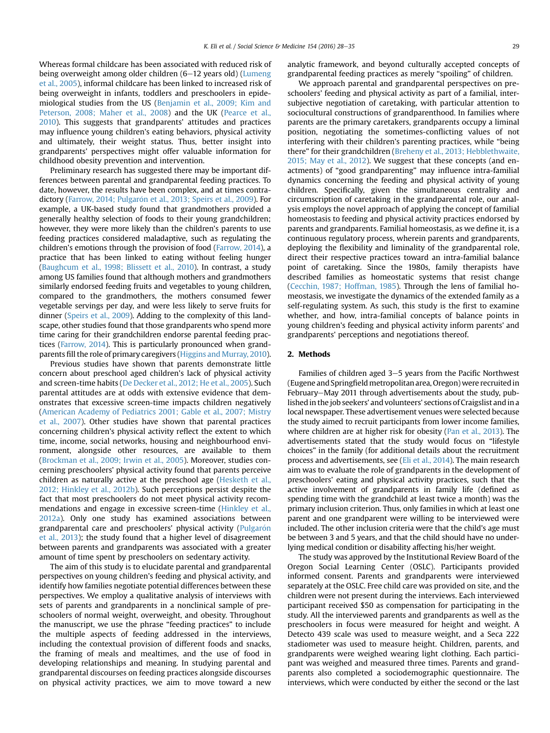Whereas formal childcare has been associated with reduced risk of being overweight among older children  $(6-12$  years old) [\(Lumeng](#page-7-0) [et al., 2005\)](#page-7-0), informal childcare has been linked to increased risk of being overweight in infants, toddlers and preschoolers in epidemiological studies from the US [\(Benjamin et al., 2009; Kim and](#page-6-0) [Peterson, 2008; Maher et al., 2008\)](#page-6-0) and the UK ([Pearce et al.,](#page-7-0) [2010\)](#page-7-0). This suggests that grandparents' attitudes and practices may influence young children's eating behaviors, physical activity and ultimately, their weight status. Thus, better insight into grandparents' perspectives might offer valuable information for childhood obesity prevention and intervention.

Preliminary research has suggested there may be important differences between parental and grandparental feeding practices. To date, however, the results have been complex, and at times contradictory (Farrow, 2014; Pulgarón et al., 2013; Speirs et al., 2009). For example, a UK-based study found that grandmothers provided a generally healthy selection of foods to their young grandchildren; however, they were more likely than the children's parents to use feeding practices considered maladaptive, such as regulating the children's emotions through the provision of food [\(Farrow, 2014](#page-7-0)), a practice that has been linked to eating without feeling hunger [\(Baughcum et al., 1998; Blissett et al., 2010](#page-6-0)). In contrast, a study among US families found that although mothers and grandmothers similarly endorsed feeding fruits and vegetables to young children, compared to the grandmothers, the mothers consumed fewer vegetable servings per day, and were less likely to serve fruits for dinner [\(Speirs et al., 2009](#page-7-0)). Adding to the complexity of this landscape, other studies found that those grandparents who spend more time caring for their grandchildren endorse parental feeding practices ([Farrow, 2014](#page-7-0)). This is particularly pronounced when grandparents fill the role of primary caregivers [\(Higgins and Murray, 2010\)](#page-7-0).

Previous studies have shown that parents demonstrate little concern about preschool aged children's lack of physical activity and screen-time habits ([De Decker et al., 2012; He et al., 2005\)](#page-7-0). Such parental attitudes are at odds with extensive evidence that demonstrates that excessive screen-time impacts children negatively ([American Academy of Pediatrics 2001; Gable et al., 2007; Mistry](#page-6-0) [et al., 2007\)](#page-6-0). Other studies have shown that parental practices concerning children's physical activity reflect the extent to which time, income, social networks, housing and neighbourhood environment, alongside other resources, are available to them ([Brockman et al., 2009; Irwin et al., 2005](#page-7-0)). Moreover, studies concerning preschoolers' physical activity found that parents perceive children as naturally active at the preschool age ([Hesketh et al.,](#page-7-0) [2012; Hinkley et al., 2012b\)](#page-7-0). Such perceptions persist despite the fact that most preschoolers do not meet physical activity recommendations and engage in excessive screen-time ([Hinkley et al.,](#page-7-0) [2012a](#page-7-0)). Only one study has examined associations between grandparental care and preschoolers' physical activity (Pulgarón [et al., 2013\)](#page-7-0); the study found that a higher level of disagreement between parents and grandparents was associated with a greater amount of time spent by preschoolers on sedentary activity.

The aim of this study is to elucidate parental and grandparental perspectives on young children's feeding and physical activity, and identify how families negotiate potential differences between these perspectives. We employ a qualitative analysis of interviews with sets of parents and grandparents in a nonclinical sample of preschoolers of normal weight, overweight, and obesity. Throughout the manuscript, we use the phrase "feeding practices" to include the multiple aspects of feeding addressed in the interviews, including the contextual provision of different foods and snacks, the framing of meals and mealtimes, and the use of food in developing relationships and meaning. In studying parental and grandparental discourses on feeding practices alongside discourses on physical activity practices, we aim to move toward a new analytic framework, and beyond culturally accepted concepts of grandparental feeding practices as merely "spoiling" of children.

We approach parental and grandparental perspectives on preschoolers' feeding and physical activity as part of a familial, intersubjective negotiation of caretaking, with particular attention to sociocultural constructions of grandparenthood. In families where parents are the primary caretakers, grandparents occupy a liminal position, negotiating the sometimes-conflicting values of not interfering with their children's parenting practices, while "being there" for their grandchildren ([Breheny et al., 2013; Hebblethwaite,](#page-6-0) [2015; May et al., 2012\)](#page-6-0). We suggest that these concepts (and enactments) of "good grandparenting" may influence intra-familial dynamics concerning the feeding and physical activity of young children. Specifically, given the simultaneous centrality and circumscription of caretaking in the grandparental role, our analysis employs the novel approach of applying the concept of familial homeostasis to feeding and physical activity practices endorsed by parents and grandparents. Familial homeostasis, as we define it, is a continuous regulatory process, wherein parents and grandparents, deploying the flexibility and liminality of the grandparental role, direct their respective practices toward an intra-familial balance point of caretaking. Since the 1980s, family therapists have described families as homeostatic systems that resist change ([Cecchin, 1987; Hoffman, 1985](#page-7-0)). Through the lens of familial homeostasis, we investigate the dynamics of the extended family as a self-regulating system. As such, this study is the first to examine whether, and how, intra-familial concepts of balance points in young children's feeding and physical activity inform parents' and grandparents' perceptions and negotiations thereof.

## 2. Methods

Families of children aged 3-5 years from the Pacific Northwest (Eugene and Springfield metropolitan area, Oregon) were recruited in February–May 2011 through advertisements about the study, published in the job seekers' and volunteers' sections of Craigslist and in a local newspaper. These advertisement venues were selected because the study aimed to recruit participants from lower income families, where children are at higher risk for obesity [\(Pan et al., 2013](#page-7-0)). The advertisements stated that the study would focus on "lifestyle choices" in the family (for additional details about the recruitment process and advertisements, see [\(Eli et al., 2014](#page-7-0)). The main research aim was to evaluate the role of grandparents in the development of preschoolers' eating and physical activity practices, such that the active involvement of grandparents in family life (defined as spending time with the grandchild at least twice a month) was the primary inclusion criterion. Thus, only families in which at least one parent and one grandparent were willing to be interviewed were included. The other inclusion criteria were that the child's age must be between 3 and 5 years, and that the child should have no underlying medical condition or disability affecting his/her weight.

The study was approved by the Institutional Review Board of the Oregon Social Learning Center (OSLC). Participants provided informed consent. Parents and grandparents were interviewed separately at the OSLC. Free child care was provided on site, and the children were not present during the interviews. Each interviewed participant received \$50 as compensation for participating in the study. All the interviewed parents and grandparents as well as the preschoolers in focus were measured for height and weight. A Detecto 439 scale was used to measure weight, and a Seca 222 stadiometer was used to measure height. Children, parents, and grandparents were weighed wearing light clothing. Each participant was weighed and measured three times. Parents and grandparents also completed a sociodemographic questionnaire. The interviews, which were conducted by either the second or the last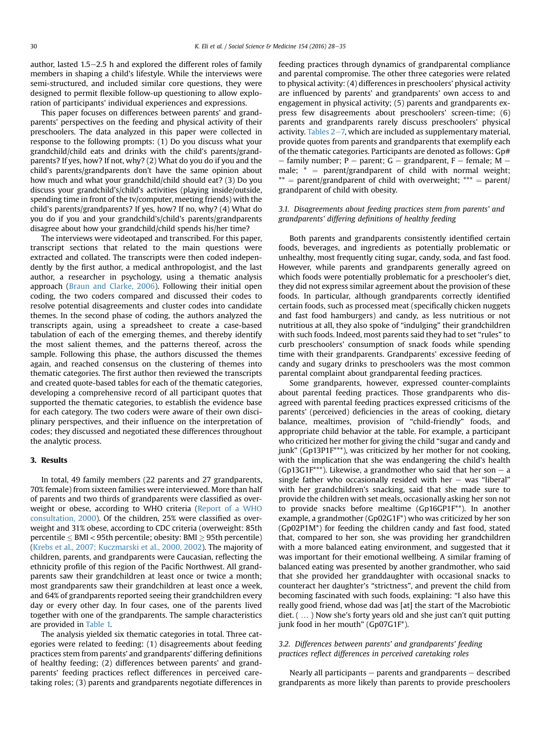author, lasted  $1.5-2.5$  h and explored the different roles of family members in shaping a child's lifestyle. While the interviews were semi-structured, and included similar core questions, they were designed to permit flexible follow-up questioning to allow exploration of participants' individual experiences and expressions.

This paper focuses on differences between parents' and grandparents' perspectives on the feeding and physical activity of their preschoolers. The data analyzed in this paper were collected in response to the following prompts: (1) Do you discuss what your grandchild/child eats and drinks with the child's parents/grandparents? If yes, how? If not, why? (2) What do you do if you and the child's parents/grandparents don't have the same opinion about how much and what your grandchild/child should eat? (3) Do you discuss your grandchild's/child's activities (playing inside/outside, spending time in front of the tv/computer, meeting friends) with the child's parents/grandparents? If yes, how? If no, why? (4) What do you do if you and your grandchild's/child's parents/grandparents disagree about how your grandchild/child spends his/her time?

The interviews were videotaped and transcribed. For this paper, transcript sections that related to the main questions were extracted and collated. The transcripts were then coded independently by the first author, a medical anthropologist, and the last author, a researcher in psychology, using a thematic analysis approach ([Braun and Clarke, 2006\)](#page-6-0). Following their initial open coding, the two coders compared and discussed their codes to resolve potential disagreements and cluster codes into candidate themes. In the second phase of coding, the authors analyzed the transcripts again, using a spreadsheet to create a case-based tabulation of each of the emerging themes, and thereby identify the most salient themes, and the patterns thereof, across the sample. Following this phase, the authors discussed the themes again, and reached consensus on the clustering of themes into thematic categories. The first author then reviewed the transcripts and created quote-based tables for each of the thematic categories, developing a comprehensive record of all participant quotes that supported the thematic categories, to establish the evidence base for each category. The two coders were aware of their own disciplinary perspectives, and their influence on the interpretation of codes; they discussed and negotiated these differences throughout the analytic process.

## 3. Results

In total, 49 family members (22 parents and 27 grandparents, 70% female) from sixteen families were interviewed. More than half of parents and two thirds of grandparents were classified as overweight or obese, according to WHO criteria [\(Report of a WHO](#page-7-0) [consultation, 2000](#page-7-0)). Of the children, 25% were classified as overweight and 31% obese, according to CDC criteria (overweight: 85th percentile  $\le$  BMI  $\lt$  95th percentile; obesity: BMI  $>$  95th percentile) ([Krebs et al., 2007; Kuczmarski et al., 2000, 2002\)](#page-7-0). The majority of children, parents, and grandparents were Caucasian, reflecting the ethnicity profile of this region of the Pacific Northwest. All grandparents saw their grandchildren at least once or twice a month; most grandparents saw their grandchildren at least once a week, and 64% of grandparents reported seeing their grandchildren every day or every other day. In four cases, one of the parents lived together with one of the grandparents. The sample characteristics are provided in [Table 1.](#page-3-0)

The analysis yielded six thematic categories in total. Three categories were related to feeding: (1) disagreements about feeding practices stem from parents' and grandparents' differing definitions of healthy feeding; (2) differences between parents' and grandparents' feeding practices reflect differences in perceived caretaking roles; (3) parents and grandparents negotiate differences in feeding practices through dynamics of grandparental compliance and parental compromise. The other three categories were related to physical activity: (4) differences in preschoolers' physical activity are influenced by parents' and grandparents' own access to and engagement in physical activity; (5) parents and grandparents express few disagreements about preschoolers' screen-time; (6) parents and grandparents rarely discuss preschoolers' physical activity. Tables  $2-7$ , which are included as supplementary material, provide quotes from parents and grandparents that exemplify each of the thematic categories. Participants are denoted as follows: Gp# - family number;  $P$  - parent;  $G$  - grandparent,  $F$  - female;  $M$  male;  $* =$  parent/grandparent of child with normal weight; \*\* = parent/grandparent of child with overweight; \*\*\* = parent/ grandparent of child with obesity.

## 3.1. Disagreements about feeding practices stem from parents' and grandparents' differing definitions of healthy feeding

Both parents and grandparents consistently identified certain foods, beverages, and ingredients as potentially problematic or unhealthy, most frequently citing sugar, candy, soda, and fast food. However, while parents and grandparents generally agreed on which foods were potentially problematic for a preschooler's diet, they did not express similar agreement about the provision of these foods. In particular, although grandparents correctly identified certain foods, such as processed meat (specifically chicken nuggets and fast food hamburgers) and candy, as less nutritious or not nutritious at all, they also spoke of "indulging" their grandchildren with such foods. Indeed, most parents said they had to set "rules" to curb preschoolers' consumption of snack foods while spending time with their grandparents. Grandparents' excessive feeding of candy and sugary drinks to preschoolers was the most common parental complaint about grandparental feeding practices.

Some grandparents, however, expressed counter-complaints about parental feeding practices. Those grandparents who disagreed with parental feeding practices expressed criticisms of the parents' (perceived) deficiencies in the areas of cooking, dietary balance, mealtimes, provision of "child-friendly" foods, and appropriate child behavior at the table. For example, a participant who criticized her mother for giving the child "sugar and candy and junk" (Gp13P1F\*\*\*), was criticized by her mother for not cooking, with the implication that she was endangering the child's health (Gp13G1F\*\*\*). Likewise, a grandmother who said that her son  $-$  a single father who occasionally resided with her  $-$  was "liberal" with her grandchildren's snacking, said that she made sure to provide the children with set meals, occasionally asking her son not to provide snacks before mealtime (Gp16GP1F\*\*). In another example, a grandmother (Gp02G1F\*) who was criticized by her son (Gp02P1M\*) for feeding the children candy and fast food, stated that, compared to her son, she was providing her grandchildren with a more balanced eating environment, and suggested that it was important for their emotional wellbeing. A similar framing of balanced eating was presented by another grandmother, who said that she provided her granddaughter with occasional snacks to counteract her daughter's "strictness", and prevent the child from becoming fascinated with such foods, explaining: "I also have this really good friend, whose dad was [at] the start of the Macrobiotic diet. ( … ) Now she's forty years old and she just can't quit putting junk food in her mouth" (Gp07G1F\*).

## 3.2. Differences between parents' and grandparents' feeding practices reflect differences in perceived caretaking roles

Nearly all participants  $-$  parents and grandparents  $-$  described grandparents as more likely than parents to provide preschoolers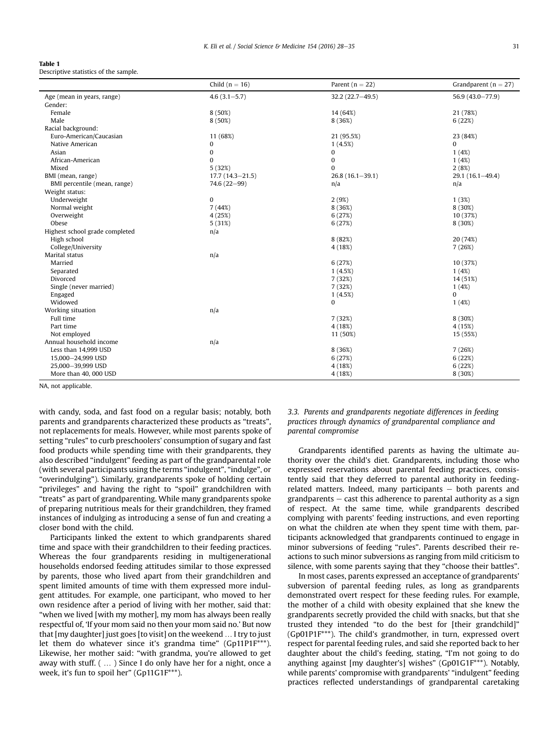<span id="page-3-0"></span>

| Table 1                               |  |
|---------------------------------------|--|
| Descriptive statistics of the sample. |  |

|                                | Child $(n = 16)$    | Parent ( $n = 22$ ) | Grandparent ( $n = 27$ ) |
|--------------------------------|---------------------|---------------------|--------------------------|
| Age (mean in years, range)     | $4.6(3.1 - 5.7)$    | $32.2(22.7 - 49.5)$ | 56.9 (43.0-77.9)         |
| Gender:                        |                     |                     |                          |
| Female                         | 8 (50%)             | 14 (64%)            | 21 (78%)                 |
| Male                           | 8 (50%)             | 8(36%)              | 6(22%)                   |
| Racial background:             |                     |                     |                          |
| Euro-American/Caucasian        | 11 (68%)            | 21 (95.5%)          | 23 (84%)                 |
| Native American                | 0                   | 1(4.5%)             | 0                        |
| Asian                          | $\pmb{0}$           | 0                   | 1(4%)                    |
| African-American               | $\bf{0}$            | $\bf{0}$            | 1(4%)                    |
| Mixed                          | 5 (32%)             | $\Omega$            | 2(8%)                    |
| BMI (mean, range)              | $17.7(14.3 - 21.5)$ | $26.8(16.1-39.1)$   | $29.1(16.1 - 49.4)$      |
| BMI percentile (mean, range)   | 74.6 (22-99)        | n/a                 | n/a                      |
| Weight status:                 |                     |                     |                          |
| Underweight                    | $\bf{0}$            | 2(9%)               | 1(3%)                    |
| Normal weight                  | 7(44%)              | 8 (36%)             | 8 (30%)                  |
| Overweight                     | 4 (25%)             | 6(27%)              | 10 (37%)                 |
| Obese                          | 5(31%)              | 6(27%)              | 8 (30%)                  |
| Highest school grade completed | n/a                 |                     |                          |
| High school                    |                     | 8 (82%)             | 20 (74%)                 |
| College/University             |                     | 4 (18%)             | 7(26%)                   |
| Marital status                 | n/a                 |                     |                          |
| Married                        |                     | 6(27%)              | 10 (37%)                 |
| Separated                      |                     | 1(4.5%)             | 1(4%)                    |
| Divorced                       |                     | 7(32%)              | 14 (51%)                 |
| Single (never married)         |                     | 7(32%)              | 1(4%)                    |
| Engaged                        |                     | 1(4.5%)             | $\mathbf{0}$             |
| Widowed                        |                     | $\bf{0}$            | 1(4%)                    |
| Working situation              | n/a                 |                     |                          |
| Full time                      |                     | 7(32%)              | 8 (30%)                  |
| Part time                      |                     | 4 (18%)             | 4 (15%)                  |
| Not employed                   |                     | 11 (50%)            | 15 (55%)                 |
| Annual household income        | n/a                 |                     |                          |
| Less than 14,999 USD           |                     | 8 (36%)             | 7(26%)                   |
| 15,000-24,999 USD              |                     | 6(27%)              | 6(22%)                   |
| 25,000-39,999 USD              |                     | 4 (18%)             | 6(22%)                   |
| More than 40, 000 USD          |                     | 4 (18%)             | 8 (30%)                  |

NA, not applicable.

with candy, soda, and fast food on a regular basis; notably, both parents and grandparents characterized these products as "treats", not replacements for meals. However, while most parents spoke of setting "rules" to curb preschoolers' consumption of sugary and fast food products while spending time with their grandparents, they also described "indulgent" feeding as part of the grandparental role (with several participants using the terms "indulgent", "indulge", or "overindulging"). Similarly, grandparents spoke of holding certain "privileges" and having the right to "spoil" grandchildren with "treats" as part of grandparenting. While many grandparents spoke of preparing nutritious meals for their grandchildren, they framed instances of indulging as introducing a sense of fun and creating a closer bond with the child.

Participants linked the extent to which grandparents shared time and space with their grandchildren to their feeding practices. Whereas the four grandparents residing in multigenerational households endorsed feeding attitudes similar to those expressed by parents, those who lived apart from their grandchildren and spent limited amounts of time with them expressed more indulgent attitudes. For example, one participant, who moved to her own residence after a period of living with her mother, said that: "when we lived [with my mother], my mom has always been really respectful of, 'If your mom said no then your mom said no.' But now that [my daughter] just goes [to visit] on the weekend … I try to just let them do whatever since it's grandma time" (Gp11P1F\*\*\*). Likewise, her mother said: "with grandma, you're allowed to get away with stuff. ( … ) Since I do only have her for a night, once a week, it's fun to spoil her" (Gp11G1F\*\*\*).

3.3. Parents and grandparents negotiate differences in feeding practices through dynamics of grandparental compliance and parental compromise

Grandparents identified parents as having the ultimate authority over the child's diet. Grandparents, including those who expressed reservations about parental feeding practices, consistently said that they deferred to parental authority in feedingrelated matters. Indeed, many participants  $-$  both parents and grandparents  $-$  cast this adherence to parental authority as a sign of respect. At the same time, while grandparents described complying with parents' feeding instructions, and even reporting on what the children ate when they spent time with them, participants acknowledged that grandparents continued to engage in minor subversions of feeding "rules". Parents described their reactions to such minor subversions as ranging from mild criticism to silence, with some parents saying that they "choose their battles".

In most cases, parents expressed an acceptance of grandparents' subversion of parental feeding rules, as long as grandparents demonstrated overt respect for these feeding rules. For example, the mother of a child with obesity explained that she knew the grandparents secretly provided the child with snacks, but that she trusted they intended "to do the best for [their grandchild]" (Gp01P1F\*\*\*). The child's grandmother, in turn, expressed overt respect for parental feeding rules, and said she reported back to her daughter about the child's feeding, stating, "I'm not going to do anything against [my daughter's] wishes" (Gp01G1F\*\*\*). Notably, while parents' compromise with grandparents' "indulgent" feeding practices reflected understandings of grandparental caretaking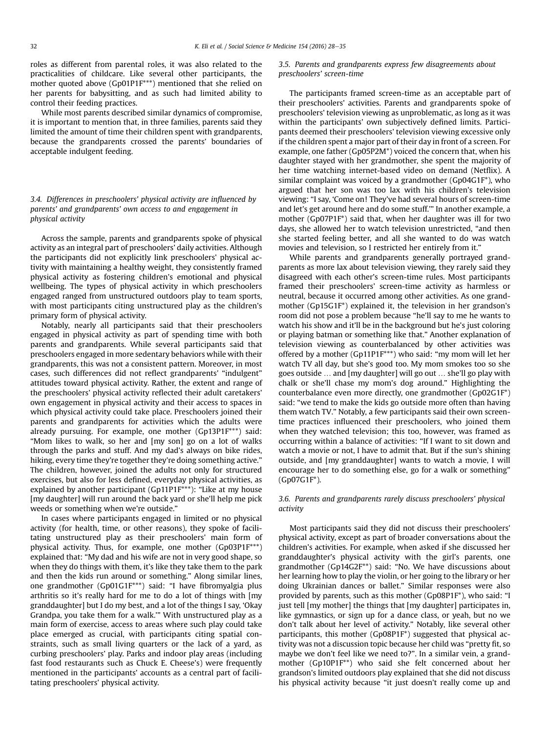roles as different from parental roles, it was also related to the practicalities of childcare. Like several other participants, the mother quoted above (Gp01P1F\*\*\*) mentioned that she relied on her parents for babysitting, and as such had limited ability to control their feeding practices.

While most parents described similar dynamics of compromise, it is important to mention that, in three families, parents said they limited the amount of time their children spent with grandparents, because the grandparents crossed the parents' boundaries of acceptable indulgent feeding.

## 3.4. Differences in preschoolers' physical activity are influenced by parents' and grandparents' own access to and engagement in physical activity

Across the sample, parents and grandparents spoke of physical activity as an integral part of preschoolers' daily activities. Although the participants did not explicitly link preschoolers' physical activity with maintaining a healthy weight, they consistently framed physical activity as fostering children's emotional and physical wellbeing. The types of physical activity in which preschoolers engaged ranged from unstructured outdoors play to team sports, with most participants citing unstructured play as the children's primary form of physical activity.

Notably, nearly all participants said that their preschoolers engaged in physical activity as part of spending time with both parents and grandparents. While several participants said that preschoolers engaged in more sedentary behaviors while with their grandparents, this was not a consistent pattern. Moreover, in most cases, such differences did not reflect grandparents' "indulgent" attitudes toward physical activity. Rather, the extent and range of the preschoolers' physical activity reflected their adult caretakers' own engagement in physical activity and their access to spaces in which physical activity could take place. Preschoolers joined their parents and grandparents for activities which the adults were already pursuing. For example, one mother (Gp13P1F\*\*\*) said: "Mom likes to walk, so her and [my son] go on a lot of walks through the parks and stuff. And my dad's always on bike rides, hiking, every time they're together they're doing something active." The children, however, joined the adults not only for structured exercises, but also for less defined, everyday physical activities, as explained by another participant (Gp11P1F\*\*\*): "Like at my house [my daughter] will run around the back yard or she'll help me pick weeds or something when we're outside."

In cases where participants engaged in limited or no physical activity (for health, time, or other reasons), they spoke of facilitating unstructured play as their preschoolers' main form of physical activity. Thus, for example, one mother (Gp03P1F\*\*\*) explained that: "My dad and his wife are not in very good shape, so when they do things with them, it's like they take them to the park and then the kids run around or something." Along similar lines, one grandmother (Gp01G1F\*\*\*) said: "I have fibromyalgia plus arthritis so it's really hard for me to do a lot of things with [my granddaughter] but I do my best, and a lot of the things I say, 'Okay Grandpa, you take them for a walk.'" With unstructured play as a main form of exercise, access to areas where such play could take place emerged as crucial, with participants citing spatial constraints, such as small living quarters or the lack of a yard, as curbing preschoolers' play. Parks and indoor play areas (including fast food restaurants such as Chuck E. Cheese's) were frequently mentioned in the participants' accounts as a central part of facilitating preschoolers' physical activity.

3.5. Parents and grandparents express few disagreements about preschoolers' screen-time

The participants framed screen-time as an acceptable part of their preschoolers' activities. Parents and grandparents spoke of preschoolers' television viewing as unproblematic, as long as it was within the participants' own subjectively defined limits. Participants deemed their preschoolers' television viewing excessive only if the children spent a major part of their day in front of a screen. For example, one father (Gp05P2M\*) voiced the concern that, when his daughter stayed with her grandmother, she spent the majority of her time watching internet-based video on demand (Netflix). A similar complaint was voiced by a grandmother (Gp04G1F\*), who argued that her son was too lax with his children's television viewing: "I say, 'Come on! They've had several hours of screen-time and let's get around here and do some stuff.'" In another example, a mother (Gp07P1F\*) said that, when her daughter was ill for two days, she allowed her to watch television unrestricted, "and then she started feeling better, and all she wanted to do was watch movies and television, so I restricted her entirely from it."

While parents and grandparents generally portrayed grandparents as more lax about television viewing, they rarely said they disagreed with each other's screen-time rules. Most participants framed their preschoolers' screen-time activity as harmless or neutral, because it occurred among other activities. As one grandmother (Gp15G1F\*) explained it, the television in her grandson's room did not pose a problem because "he'll say to me he wants to watch his show and it'll be in the background but he's just coloring or playing batman or something like that." Another explanation of television viewing as counterbalanced by other activities was offered by a mother (Gp11P1F\*\*\*) who said: "my mom will let her watch TV all day, but she's good too. My mom smokes too so she goes outside … and [my daughter] will go out … she'll go play with chalk or she'll chase my mom's dog around." Highlighting the counterbalance even more directly, one grandmother (Gp02G1F\*) said: "we tend to make the kids go outside more often than having them watch TV." Notably, a few participants said their own screentime practices influenced their preschoolers, who joined them when they watched television; this too, however, was framed as occurring within a balance of activities: "If I want to sit down and watch a movie or not, I have to admit that. But if the sun's shining outside, and [my granddaughter] wants to watch a movie, I will encourage her to do something else, go for a walk or something" (Gp07G1F\*).

## 3.6. Parents and grandparents rarely discuss preschoolers' physical activity

Most participants said they did not discuss their preschoolers' physical activity, except as part of broader conversations about the children's activities. For example, when asked if she discussed her granddaughter's physical activity with the girl's parents, one grandmother (Gp14G2F\*\*) said: "No. We have discussions about her learning how to play the violin, or her going to the library or her doing Ukrainian dances or ballet." Similar responses were also provided by parents, such as this mother (Gp08P1F\*), who said: "I just tell [my mother] the things that [my daughter] participates in, like gymnastics, or sign up for a dance class, or yeah, but no we don't talk about her level of activity." Notably, like several other participants, this mother (Gp08P1F\*) suggested that physical activity was not a discussion topic because her child was "pretty fit, so maybe we don't feel like we need to?". In a similar vein, a grandmother (Gp10P1F\*\*) who said she felt concerned about her grandson's limited outdoors play explained that she did not discuss his physical activity because "it just doesn't really come up and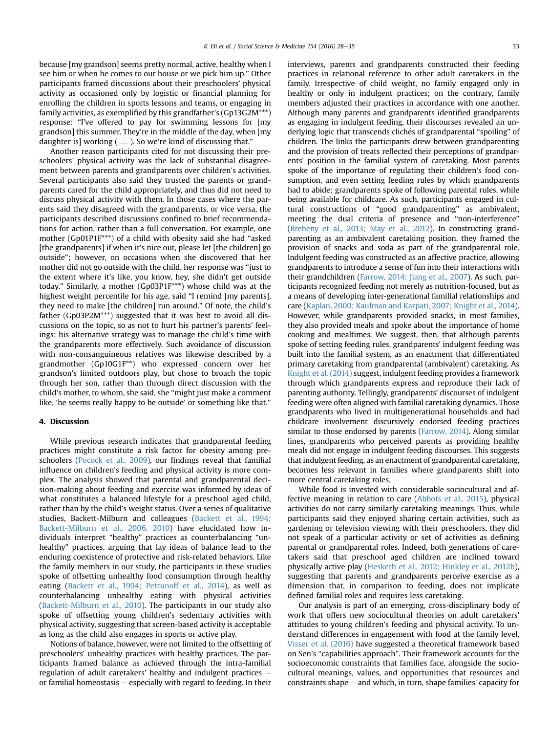because [my grandson] seems pretty normal, active, healthy when I see him or when he comes to our house or we pick him up." Other participants framed discussions about their preschoolers' physical activity as occasioned only by logistic or financial planning for enrolling the children in sports lessons and teams, or engaging in family activities, as exemplified by this grandfather's (Gp13G2M\*\*\*) response: "I've offered to pay for swimming lessons for [my grandson] this summer. They're in the middle of the day, when [my daughter is] working ( … ). So we're kind of discussing that."

Another reason participants cited for not discussing their preschoolers' physical activity was the lack of substantial disagreement between parents and grandparents over children's activities. Several participants also said they trusted the parents or grandparents cared for the child appropriately, and thus did not need to discuss physical activity with them. In those cases where the parents said they disagreed with the grandparents, or vice versa, the participants described discussions confined to brief recommendations for action, rather than a full conversation. For example, one mother (Gp01P1F\*\*\*) of a child with obesity said she had "asked [the grandparents] if when it's nice out, please let [the children] go outside"; however, on occasions when she discovered that her mother did not go outside with the child, her response was "just to the extent where it's like, you know, hey, she didn't get outside today." Similarly, a mother (Gp03P1F\*\*\*) whose child was at the highest weight percentile for his age, said "I remind [my parents], they need to make [the children] run around." Of note, the child's father (Gp03P2M\*\*\*) suggested that it was best to avoid all discussions on the topic, so as not to hurt his partner's parents' feelings; his alternative strategy was to manage the child's time with the grandparents more effectively. Such avoidance of discussion with non-consanguineous relatives was likewise described by a grandmother (Gp10G1F\*\*) who expressed concern over her grandson's limited outdoors play, but chose to broach the topic through her son, rather than through direct discussion with the child's mother, to whom, she said, she "might just make a comment like, 'he seems really happy to be outside' or something like that."

#### 4. Discussion

While previous research indicates that grandparental feeding practices might constitute a risk factor for obesity among preschoolers ([Pocock et al., 2009\)](#page-7-0), our findings reveal that familial influence on children's feeding and physical activity is more complex. The analysis showed that parental and grandparental decision-making about feeding and exercise was informed by ideas of what constitutes a balanced lifestyle for a preschool aged child, rather than by the child's weight status. Over a series of qualitative studies, Backett-Milburn and colleagues [\(Backett et al., 1994;](#page-6-0) [Backett-Milburn et al., 2006, 2010\)](#page-6-0) have elucidated how individuals interpret "healthy" practices as counterbalancing "unhealthy" practices, arguing that lay ideas of balance lead to the enduring coexistence of protective and risk-related behaviors. Like the family members in our study, the participants in these studies spoke of offsetting unhealthy food consumption through healthy eating ([Backett et al., 1994; Petrunoff et al., 2014](#page-6-0)), as well as counterbalancing unhealthy eating with physical activities ([Backett-Milburn et al., 2010](#page-6-0)). The participants in our study also spoke of offsetting young children's sedentary activities with physical activity, suggesting that screen-based activity is acceptable as long as the child also engages in sports or active play.

Notions of balance, however, were not limited to the offsetting of preschoolers' unhealthy practices with healthy practices. The participants framed balance as achieved through the intra-familial regulation of adult caretakers' healthy and indulgent practices or familial homeostasis  $-$  especially with regard to feeding. In their interviews, parents and grandparents constructed their feeding practices in relational reference to other adult caretakers in the family. Irrespective of child weight, no family engaged only in healthy or only in indulgent practices; on the contrary, family members adjusted their practices in accordance with one another. Although many parents and grandparents identified grandparents as engaging in indulgent feeding, their discourses revealed an underlying logic that transcends cliches of grandparental "spoiling" of children. The links the participants drew between grandparenting and the provision of treats reflected their perceptions of grandparents' position in the familial system of caretaking. Most parents spoke of the importance of regulating their children's food consumption, and even setting feeding rules by which grandparents had to abide; grandparents spoke of following parental rules, while being available for childcare. As such, participants engaged in cultural constructions of "good grandparenting" as ambivalent, meeting the dual criteria of presence and "non-interference" [\(Breheny et al., 2013; May et al., 2012\)](#page-6-0). In constructing grandparenting as an ambivalent caretaking position, they framed the provision of snacks and soda as part of the grandparental role. Indulgent feeding was constructed as an affective practice, allowing grandparents to introduce a sense of fun into their interactions with their grandchildren [\(Farrow, 2014; Jiang et al., 2007](#page-7-0)). As such, participants recognized feeding not merely as nutrition-focused, but as a means of developing inter-generational familial relationships and care ([Kaplan, 2000; Kaufman and Karpati, 2007; Knight et al., 2014\)](#page-7-0). However, while grandparents provided snacks, in most families, they also provided meals and spoke about the importance of home cooking and mealtimes. We suggest, then, that although parents spoke of setting feeding rules, grandparents' indulgent feeding was built into the familial system, as an enactment that differentiated primary caretaking from grandparental (ambivalent) caretaking. As [Knight et al. \(2014\)](#page-7-0) suggest, indulgent feeding provides a framework through which grandparents express and reproduce their lack of parenting authority. Tellingly, grandparents' discourses of indulgent feeding were often aligned with familial caretaking dynamics. Those grandparents who lived in multigenerational households and had childcare involvement discursively endorsed feeding practices similar to those endorsed by parents [\(Farrow, 2014\)](#page-7-0). Along similar lines, grandparents who perceived parents as providing healthy meals did not engage in indulgent feeding discourses. This suggests that indulgent feeding, as an enactment of grandparental caretaking, becomes less relevant in families where grandparents shift into more central caretaking roles.

While food is invested with considerable sociocultural and affective meaning in relation to care ([Abbots et al., 2015\)](#page-6-0), physical activities do not carry similarly caretaking meanings. Thus, while participants said they enjoyed sharing certain activities, such as gardening or television viewing with their preschoolers, they did not speak of a particular activity or set of activities as defining parental or grandparental roles. Indeed, both generations of caretakers said that preschool aged children are inclined toward physically active play [\(Hesketh et al., 2012; Hinkley et al., 2012b\)](#page-7-0), suggesting that parents and grandparents perceive exercise as a dimension that, in comparison to feeding, does not implicate defined familial roles and requires less caretaking.

Our analysis is part of an emerging, cross-disciplinary body of work that offers new sociocultural theories on adult caretakers' attitudes to young children's feeding and physical activity. To understand differences in engagement with food at the family level, [Visser et al. \(2016\)](#page-7-0) have suggested a theoretical framework based on Sen's "capabilities approach". Their framework accounts for the socioeconomic constraints that families face, alongside the sociocultural meanings, values, and opportunities that resources and constraints shape  $-$  and which, in turn, shape families' capacity for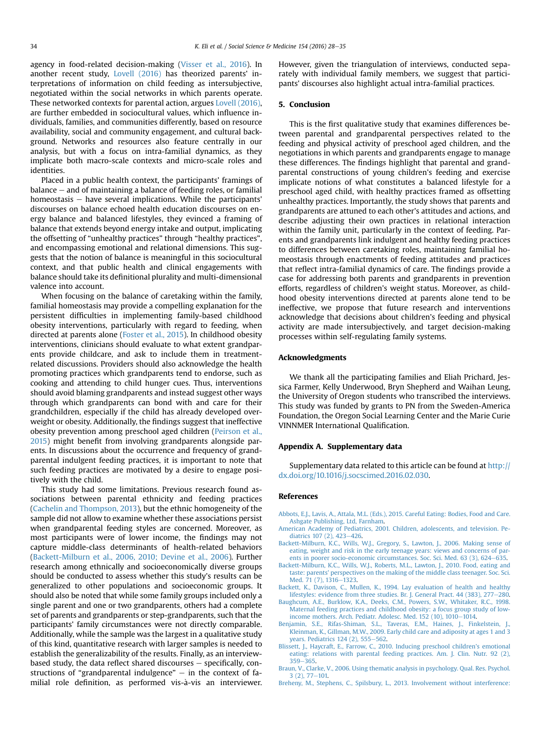<span id="page-6-0"></span>agency in food-related decision-making ([Visser et al., 2016](#page-7-0)). In another recent study, [Lovell \(2016\)](#page-7-0) has theorized parents' interpretations of information on child feeding as intersubjective, negotiated within the social networks in which parents operate. These networked contexts for parental action, argues [Lovell \(2016\),](#page-7-0) are further embedded in sociocultural values, which influence individuals, families, and communities differently, based on resource availability, social and community engagement, and cultural background. Networks and resources also feature centrally in our analysis, but with a focus on intra-familial dynamics, as they implicate both macro-scale contexts and micro-scale roles and identities.

Placed in a public health context, the participants' framings of  $b$ alance  $-$  and of maintaining a balance of feeding roles, or familial homeostasis  $-$  have several implications. While the participants' discourses on balance echoed health education discourses on energy balance and balanced lifestyles, they evinced a framing of balance that extends beyond energy intake and output, implicating the offsetting of "unhealthy practices" through "healthy practices", and encompassing emotional and relational dimensions. This suggests that the notion of balance is meaningful in this sociocultural context, and that public health and clinical engagements with balance should take its definitional plurality and multi-dimensional valence into account.

When focusing on the balance of caretaking within the family, familial homeostasis may provide a compelling explanation for the persistent difficulties in implementing family-based childhood obesity interventions, particularly with regard to feeding, when directed at parents alone ([Foster et al., 2015\)](#page-7-0). In childhood obesity interventions, clinicians should evaluate to what extent grandparents provide childcare, and ask to include them in treatmentrelated discussions. Providers should also acknowledge the health promoting practices which grandparents tend to endorse, such as cooking and attending to child hunger cues. Thus, interventions should avoid blaming grandparents and instead suggest other ways through which grandparents can bond with and care for their grandchildren, especially if the child has already developed overweight or obesity. Additionally, the findings suggest that ineffective obesity prevention among preschool aged children ([Peirson et al.,](#page-7-0) [2015](#page-7-0)) might benefit from involving grandparents alongside parents. In discussions about the occurrence and frequency of grandparental indulgent feeding practices, it is important to note that such feeding practices are motivated by a desire to engage positively with the child.

This study had some limitations. Previous research found associations between parental ethnicity and feeding practices ([Cachelin and Thompson, 2013](#page-7-0)), but the ethnic homogeneity of the sample did not allow to examine whether these associations persist when grandparental feeding styles are concerned. Moreover, as most participants were of lower income, the findings may not capture middle-class determinants of health-related behaviors (Backett-Milburn et al., 2006, 2010; Devine et al., 2006). Further research among ethnically and socioeconomically diverse groups should be conducted to assess whether this study's results can be generalized to other populations and socioeconomic groups. It should also be noted that while some family groups included only a single parent and one or two grandparents, others had a complete set of parents and grandparents or step-grandparents, such that the participants' family circumstances were not directly comparable. Additionally, while the sample was the largest in a qualitative study of this kind, quantitative research with larger samples is needed to establish the generalizability of the results. Finally, as an interviewbased study, the data reflect shared discourses  $-$  specifically, constructions of "grandparental indulgence"  $-$  in the context of familial role definition, as performed vis-a-vis an interviewer. However, given the triangulation of interviews, conducted separately with individual family members, we suggest that participants' discourses also highlight actual intra-familial practices.

## 5. Conclusion

This is the first qualitative study that examines differences between parental and grandparental perspectives related to the feeding and physical activity of preschool aged children, and the negotiations in which parents and grandparents engage to manage these differences. The findings highlight that parental and grandparental constructions of young children's feeding and exercise implicate notions of what constitutes a balanced lifestyle for a preschool aged child, with healthy practices framed as offsetting unhealthy practices. Importantly, the study shows that parents and grandparents are attuned to each other's attitudes and actions, and describe adjusting their own practices in relational interaction within the family unit, particularly in the context of feeding. Parents and grandparents link indulgent and healthy feeding practices to differences between caretaking roles, maintaining familial homeostasis through enactments of feeding attitudes and practices that reflect intra-familial dynamics of care. The findings provide a case for addressing both parents and grandparents in prevention efforts, regardless of children's weight status. Moreover, as childhood obesity interventions directed at parents alone tend to be ineffective, we propose that future research and interventions acknowledge that decisions about children's feeding and physical activity are made intersubjectively, and target decision-making processes within self-regulating family systems.

#### Acknowledgments

We thank all the participating families and Eliah Prichard, Jessica Farmer, Kelly Underwood, Bryn Shepherd and Waihan Leung, the University of Oregon students who transcribed the interviews. This study was funded by grants to PN from the Sweden-America Foundation, the Oregon Social Learning Center and the Marie Curie VINNMER International Qualification.

## Appendix A. Supplementary data

Supplementary data related to this article can be found at [http://](http://dx.doi.org/10.1016/j.socscimed.2016.02.030) [dx.doi.org/10.1016/j.socscimed.2016.02.030](http://dx.doi.org/10.1016/j.socscimed.2016.02.030).

## References

- [Abbots, E.J., Lavis, A., Attala, M.L. \(Eds.\), 2015. Careful Eating: Bodies, Food and Care.](http://refhub.elsevier.com/S0277-9536(16)30085-5/sref1) [Ashgate Publishing, Ltd, Farnham](http://refhub.elsevier.com/S0277-9536(16)30085-5/sref1).
- [American Academy of Pediatrics, 2001. Children, adolescents, and television. Pe](http://refhub.elsevier.com/S0277-9536(16)30085-5/sref2)diatrics  $107(2)$ ,  $423-426$ .
- [Backett-Milburn, K.C., Wills, W.J., Gregory, S., Lawton, J., 2006. Making sense of](http://refhub.elsevier.com/S0277-9536(16)30085-5/sref4) [eating, weight and risk in the early teenage years: views and concerns of par](http://refhub.elsevier.com/S0277-9536(16)30085-5/sref4)ents in poorer socio-economic circumstances. Soc. Sci. Med.  $63$   $(3)$ ,  $624-635$ .
- [Backett-Milburn, K.C., Wills, W.J., Roberts, M.L., Lawton, J., 2010. Food, eating and](http://refhub.elsevier.com/S0277-9536(16)30085-5/sref5) [taste: parents' perspectives on the making of the middle class teenager. Soc. Sci.](http://refhub.elsevier.com/S0277-9536(16)30085-5/sref5) [Med. 71 \(7\), 1316](http://refhub.elsevier.com/S0277-9536(16)30085-5/sref5)-[1323](http://refhub.elsevier.com/S0277-9536(16)30085-5/sref5).
- [Backett, K., Davison, C., Mullen, K., 1994. Lay evaluation of health and healthy](http://refhub.elsevier.com/S0277-9536(16)30085-5/sref6) [lifestyles: evidence from three studies. Br. J. General Pract. 44 \(383\), 277](http://refhub.elsevier.com/S0277-9536(16)30085-5/sref6)-[280](http://refhub.elsevier.com/S0277-9536(16)30085-5/sref6).
- [Baughcum, A.E., Burklow, K.A., Deeks, C.M., Powers, S.W., Whitaker, R.C., 1998.](http://refhub.elsevier.com/S0277-9536(16)30085-5/sref7) [Maternal feeding practices and childhood obesity: a focus group study of low](http://refhub.elsevier.com/S0277-9536(16)30085-5/sref7)[income mothers. Arch. Pediatr. Adolesc. Med. 152 \(10\), 1010](http://refhub.elsevier.com/S0277-9536(16)30085-5/sref7)-[1014](http://refhub.elsevier.com/S0277-9536(16)30085-5/sref7).
- Benjamin, S.E., Rifas-Shiman, S.L., Taveras, E.M., Haines, J., Finkelstein, J. [Kleinman, K., Gillman, M.W., 2009. Early child care and adiposity at ages 1 and 3](http://refhub.elsevier.com/S0277-9536(16)30085-5/sref8) vears. Pediatrics 124 (2), 555-[562](http://refhub.elsevier.com/S0277-9536(16)30085-5/sref8).
- [Blissett, J., Haycraft, E., Farrow, C., 2010. Inducing preschool children's emotional](http://refhub.elsevier.com/S0277-9536(16)30085-5/sref9) [eating: relations with parental feeding practices. Am. J. Clin. Nutr. 92 \(2\),](http://refhub.elsevier.com/S0277-9536(16)30085-5/sref9)  $359 - 365.$  $359 - 365.$  $359 - 365.$  $359 - 365.$
- [Braun, V., Clarke, V., 2006. Using thematic analysis in psychology. Qual. Res. Psychol.](http://refhub.elsevier.com/S0277-9536(16)30085-5/sref10)  $3(2)$ ,  $77-101$ .
- [Breheny, M., Stephens, C., Spilsbury, L., 2013. Involvement without interference:](http://refhub.elsevier.com/S0277-9536(16)30085-5/sref11)